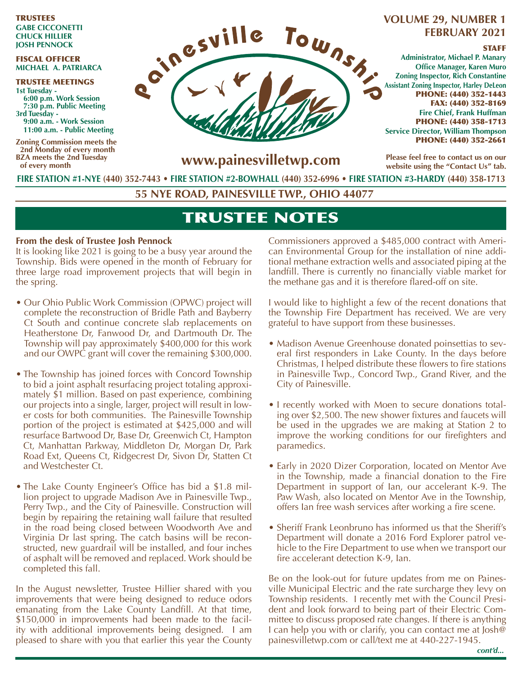#### TRUSTEES **GABE CICCONETTI CHUCK HILLIER JOSH PENNOCK**

#### FISCAL OFFICER **MICHAEL A. PATRIARCA**

TRUSTEE MEETINGS **1st Tuesday - 6:00 p.m. Work Session 7:30 p.m. Public Meeting 3rd Tuesday - 9:00 a.m. - Work Session 11:00 a.m. - Public Meeting**

**Zoning Commission meets the 2nd Monday of every month BZA meets the 2nd Tuesday of every month**



# **FEBRUARY 2021**

#### **STAFF**

**Administrator, Michael P. Manary Office Manager, Karen Muro Zoning Inspector, Rich Constantine Assistant Zoning Inspector, Harley DeLeon** PHONE: (440) 352-1443 FAX: (440) 352-8169 **Fire Chief, Frank Huffman** PHONE: (440) 358-1713 **Service Director, William Thompson** PHONE: (440) 352-2661

**www.painesvilletwp.com**

**Please feel free to contact us on our website using the "Contact Us" tab.**

**FIRE STATION #1-NYE (440) 352-7443** • **FIRE STATION #2-BOWHALL (440) 352-6996 • FIRE STATION #3-HARDY (440) 358-1713**

**55 NYE ROAD, PAINESVILLE TWP., OHIO 44077**

# TRUSTEE NOTES

### **From the desk of Trustee Josh Pennock**

It is looking like 2021 is going to be a busy year around the Township. Bids were opened in the month of February for three large road improvement projects that will begin in the spring.

- Our Ohio Public Work Commission (OPWC) project will complete the reconstruction of Bridle Path and Bayberry Ct South and continue concrete slab replacements on Heatherstone Dr, Fanwood Dr, and Dartmouth Dr. The Township will pay approximately \$400,000 for this work and our OWPC grant will cover the remaining \$300,000.
- The Township has joined forces with Concord Township to bid a joint asphalt resurfacing project totaling approximately \$1 million. Based on past experience, combining our projects into a single, larger, project will result in lower costs for both communities. The Painesville Township portion of the project is estimated at \$425,000 and will resurface Bartwood Dr, Base Dr, Greenwich Ct, Hampton Ct, Manhattan Parkway, Middleton Dr, Morgan Dr, Park Road Ext, Queens Ct, Ridgecrest Dr, Sivon Dr, Statten Ct and Westchester Ct.
- The Lake County Engineer's Office has bid a \$1.8 million project to upgrade Madison Ave in Painesville Twp., Perry Twp., and the City of Painesville. Construction will begin by repairing the retaining wall failure that resulted in the road being closed between Woodworth Ave and Virginia Dr last spring. The catch basins will be reconstructed, new guardrail will be installed, and four inches of asphalt will be removed and replaced. Work should be completed this fall.

In the August newsletter, Trustee Hillier shared with you improvements that were being designed to reduce odors emanating from the Lake County Landfill. At that time, \$150,000 in improvements had been made to the facility with additional improvements being designed. I am pleased to share with you that earlier this year the County Commissioners approved a \$485,000 contract with American Environmental Group for the installation of nine additional methane extraction wells and associated piping at the landfill. There is currently no financially viable market for the methane gas and it is therefore flared-off on site.

I would like to highlight a few of the recent donations that the Township Fire Department has received. We are very grateful to have support from these businesses.

- Madison Avenue Greenhouse donated poinsettias to several first responders in Lake County. In the days before Christmas, I helped distribute these flowers to fire stations in Painesville Twp., Concord Twp., Grand River, and the City of Painesville.
- I recently worked with Moen to secure donations totaling over \$2,500. The new shower fixtures and faucets will be used in the upgrades we are making at Station 2 to improve the working conditions for our firefighters and paramedics.
- Early in 2020 Dizer Corporation, located on Mentor Ave in the Township, made a financial donation to the Fire Department in support of Ian, our accelerant K-9. The Paw Wash, also located on Mentor Ave in the Township, offers Ian free wash services after working a fire scene.
- Sheriff Frank Leonbruno has informed us that the Sheriff's Department will donate a 2016 Ford Explorer patrol vehicle to the Fire Department to use when we transport our fire accelerant detection K-9, Ian.

Be on the look-out for future updates from me on Painesville Municipal Electric and the rate surcharge they levy on Township residents. I recently met with the Council President and look forward to being part of their Electric Committee to discuss proposed rate changes. If there is anything I can help you with or clarify, you can contact me at Josh@ painesvilletwp.com or call/text me at 440-227-1945.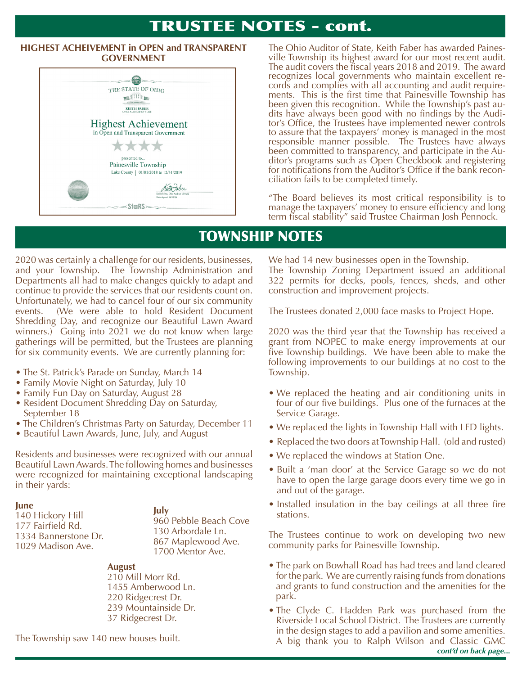# TRUSTEE NOTES - cont.

# **HIGHEST ACHEIVEMENT in OPEN and TRANSPARENT**



The Ohio Auditor of State, Keith Faber has awarded Paines-**GOVERNMENT IN OPEN AND FIRE TO AUDIT ALL STATES FIRE STATES GOVERNMENT Fire States Fighest** award for our most recent audit. The audit covers the fiscal years 2018 and 2019. The award recognizes local governments who maintain excellent records and complies with all accounting and audit require-<br>ments. This is the first time that Painesville Township has<br>been given this recognition. While the Township's dits have always been good with no findings by the Auditor's Office, the Trustees have implemented newer controls to assure that the taxpayers' money is managed in the most responsible manner possible. The Trustees have always been committed to transparency, and participate in the Auditor's programs such as Open Checkbook and registering for notifications from the Auditor's Office if the bank recon- ciliation fails to be completed timely.

> "The Board believes its most critical responsibility is to manage the taxpayers' money to ensure efficiency and long term fiscal stability" said Trustee Chairman Josh Pennock.

# TOWNSHIP NOTES

2020 was certainly a challenge for our residents, businesses, and your Township. The Township Administration and Departments all had to make changes quickly to adapt and continue to provide the services that our residents count on. Unfortunately, we had to cancel four of our six community events. (We were able to hold Resident Document Shredding Day, and recognize our Beautiful Lawn Award winners.) Going into 2021 we do not know when large gatherings will be permitted, but the Trustees are planning for six community events. We are currently planning for:

- The St. Patrick's Parade on Sunday, March 14
- Family Movie Night on Saturday, July 10
- Family Fun Day on Saturday, August 28
- Resident Document Shredding Day on Saturday, September 18
- The Children's Christmas Party on Saturday, December 11
- Beautiful Lawn Awards, June, July, and August

Residents and businesses were recognized with our annual Beautiful Lawn Awards. The following homes and businesses were recognized for maintaining exceptional landscaping in their yards:

#### **June**

140 Hickory Hill 177 Fairfield Rd. 1334 Bannerstone Dr. 1029 Madison Ave.

**July** 960 Pebble Beach Cove 130 Arbordale Ln. 867 Maplewood Ave. 1700 Mentor Ave.

#### **August**

210 Mill Morr Rd. 1455 Amberwood Ln. 220 Ridgecrest Dr. 239 Mountainside Dr. 37 Ridgecrest Dr.

The Township saw 140 new houses built.

We had 14 new businesses open in the Township. The Township Zoning Department issued an additional 322 permits for decks, pools, fences, sheds, and other construction and improvement projects.

The Trustees donated 2,000 face masks to Project Hope.

2020 was the third year that the Township has received a grant from NOPEC to make energy improvements at our five Township buildings. We have been able to make the following improvements to our buildings at no cost to the Township.

- We replaced the heating and air conditioning units in four of our five buildings. Plus one of the furnaces at the Service Garage.
- We replaced the lights in Township Hall with LED lights.
- Replaced the two doors at Township Hall. (old and rusted)
- We replaced the windows at Station One.
- Built a 'man door' at the Service Garage so we do not have to open the large garage doors every time we go in and out of the garage.
- Installed insulation in the bay ceilings at all three fire stations.

The Trustees continue to work on developing two new community parks for Painesville Township.

- The park on Bowhall Road has had trees and land cleared for the park. We are currently raising funds from donations and grants to fund construction and the amenities for the park.
- The Clyde C. Hadden Park was purchased from the Riverside Local School District. The Trustees are currently in the design stages to add a pavilion and some amenities. A big thank you to Ralph Wilson and Classic GMC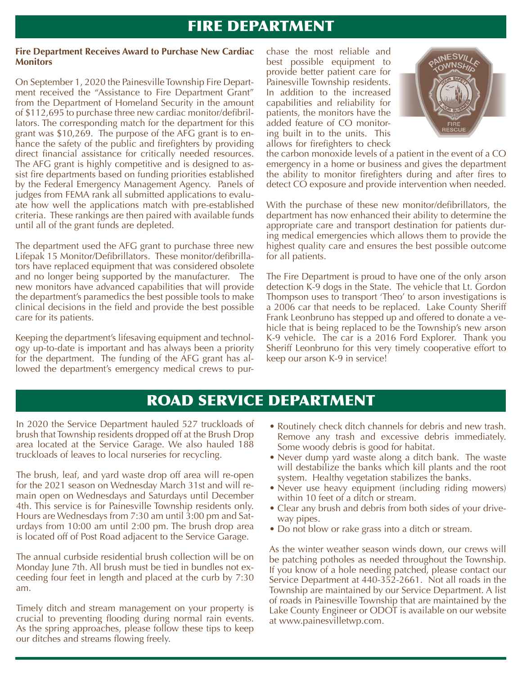# FIRE DEPARTMENT

#### **Fire Department Receives Award to Purchase New Cardiac Monitors**

On September 1, 2020 the Painesville Township Fire Department received the "Assistance to Fire Department Grant" from the Department of Homeland Security in the amount of \$112,695 to purchase three new cardiac monitor/defibrillators. The corresponding match for the department for this grant was \$10,269. The purpose of the AFG grant is to enhance the safety of the public and firefighters by providing direct financial assistance for critically needed resources. The AFG grant is highly competitive and is designed to assist fire departments based on funding priorities established by the Federal Emergency Management Agency. Panels of judges from FEMA rank all submitted applications to evaluate how well the applications match with pre-established criteria. These rankings are then paired with available funds until all of the grant funds are depleted.

The department used the AFG grant to purchase three new Lifepak 15 Monitor/Defibrillators. These monitor/defibrillators have replaced equipment that was considered obsolete and no longer being supported by the manufacturer. The new monitors have advanced capabilities that will provide the department's paramedics the best possible tools to make clinical decisions in the field and provide the best possible care for its patients.

Keeping the department's lifesaving equipment and technology up-to-date is important and has always been a priority for the department. The funding of the AFG grant has allowed the department's emergency medical crews to purchase the most reliable and best possible equipment to provide better patient care for Painesville Township residents. In addition to the increased capabilities and reliability for patients, the monitors have the added feature of CO monitoring built in to the units. This allows for firefighters to check



the carbon monoxide levels of a patient in the event of a CO emergency in a home or business and gives the department the ability to monitor firefighters during and after fires to detect CO exposure and provide intervention when needed.

With the purchase of these new monitor/defibrillators, the department has now enhanced their ability to determine the appropriate care and transport destination for patients during medical emergencies which allows them to provide the highest quality care and ensures the best possible outcome for all patients.

The Fire Department is proud to have one of the only arson detection K-9 dogs in the State. The vehicle that Lt. Gordon Thompson uses to transport 'Theo' to arson investigations is a 2006 car that needs to be replaced. Lake County Sheriff Frank Leonbruno has stepped up and offered to donate a vehicle that is being replaced to be the Township's new arson K-9 vehicle. The car is a 2016 Ford Explorer. Thank you Sheriff Leonbruno for this very timely cooperative effort to keep our arson K-9 in service!

# ROAD SERVICE DEPARTMENT

In 2020 the Service Department hauled 527 truckloads of brush that Township residents dropped off at the Brush Drop area located at the Service Garage. We also hauled 188 truckloads of leaves to local nurseries for recycling.

The brush, leaf, and yard waste drop off area will re-open for the 2021 season on Wednesday March 31st and will remain open on Wednesdays and Saturdays until December 4th. This service is for Painesville Township residents only. Hours are Wednesdays from 7:30 am until 3:00 pm and Saturdays from 10:00 am until 2:00 pm. The brush drop area is located off of Post Road adjacent to the Service Garage.

The annual curbside residential brush collection will be on Monday June 7th. All brush must be tied in bundles not exceeding four feet in length and placed at the curb by 7:30 am.

Timely ditch and stream management on your property is crucial to preventing flooding during normal rain events. As the spring approaches, please follow these tips to keep our ditches and streams flowing freely.

- Routinely check ditch channels for debris and new trash. Remove any trash and excessive debris immediately. Some woody debris is good for habitat.
- Never dump yard waste along a ditch bank. The waste will destabilize the banks which kill plants and the root system. Healthy vegetation stabilizes the banks.
- Never use heavy equipment (including riding mowers) within 10 feet of a ditch or stream.
- Clear any brush and debris from both sides of your driveway pipes.
- Do not blow or rake grass into a ditch or stream.

As the winter weather season winds down, our crews will be patching potholes as needed throughout the Township. If you know of a hole needing patched, please contact our Service Department at 440-352-2661. Not all roads in the Township are maintained by our Service Department. A list of roads in Painesville Township that are maintained by the Lake County Engineer or ODOT is available on our website at www.painesvilletwp.com.